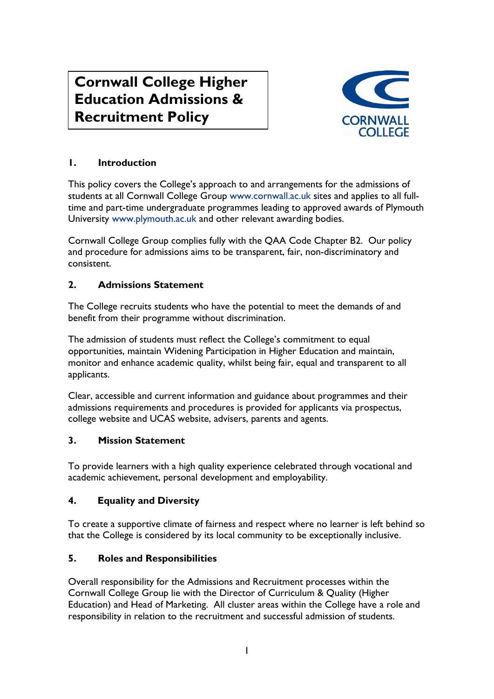# **Cornwall College Higher Education Admissions & Recruitment Policy**



# **1. Introduction**

This policy covers the College's approach to and arrangements for the admissions of students at all Cornwall College Group [www.cornwall.ac.uk](http://www.cornwall.ac.uk/) sites and applies to all fulltime and part-time undergraduate programmes leading to approved awards of Plymouth University [www.plymouth.ac.uk](http://www.plymouth.ac.uk/) and other relevant awarding bodies.

Cornwall College Group complies fully with the QAA Code Chapter B2. Our policy and procedure for admissions aims to be transparent, fair, non-discriminatory and consistent.

## **2. Admissions Statement**

The College recruits students who have the potential to meet the demands of and benefit from their programme without discrimination.

The admission of students must reflect the College's commitment to equal opportunities, maintain Widening Participation in Higher Education and maintain, monitor and enhance academic quality, whilst being fair, equal and transparent to all applicants.

Clear, accessible and current information and guidance about programmes and their admissions requirements and procedures is provided for applicants via prospectus, college website and UCAS website, advisers, parents and agents.

## **3. Mission Statement**

To provide learners with a high quality experience celebrated through vocational and academic achievement, personal development and employability.

## **4. Equality and Diversity**

To create a supportive climate of fairness and respect where no learner is left behind so that the College is considered by its local community to be exceptionally inclusive.

## **5. Roles and Responsibilities**

Overall responsibility for the Admissions and Recruitment processes within the Cornwall College Group lie with the Director of Curriculum & Quality (Higher Education) and Head of Marketing. All cluster areas within the College have a role and responsibility in relation to the recruitment and successful admission of students.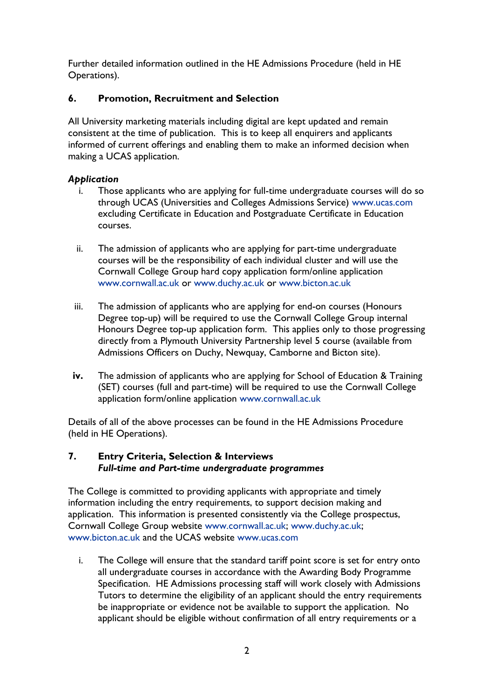Further detailed information outlined in the HE Admissions Procedure (held in HE Operations).

## **6. Promotion, Recruitment and Selection**

All University marketing materials including digital are kept updated and remain consistent at the time of publication. This is to keep all enquirers and applicants informed of current offerings and enabling them to make an informed decision when making a UCAS application.

#### *Application*

- Those applicants who are applying for full-time undergraduate courses will do so through UCAS (Universities and Colleges Admissions Service) [www.ucas.com](http://www.ucas.com/) excluding Certificate in Education and Postgraduate Certificate in Education courses.
- ii. The admission of applicants who are applying for part-time undergraduate courses will be the responsibility of each individual cluster and will use the Cornwall College Group hard copy application form/online application [www.cornwall.ac.uk](http://www.cornwall.ac.uk/) or [www.duchy.ac.uk](http://www.duchy.ac.uk/) or [www.bicton.ac.uk](http://www.bicton.ac.uk/)
- iii. The admission of applicants who are applying for end-on courses (Honours Degree top-up) will be required to use the Cornwall College Group internal Honours Degree top-up application form. This applies only to those progressing directly from a Plymouth University Partnership level 5 course (available from Admissions Officers on Duchy, Newquay, Camborne and Bicton site).
- **iv.** The admission of applicants who are applying for School of Education & Training (SET) courses (full and part-time) will be required to use the Cornwall College application form/online application [www.cornwall.ac.uk](http://www.cornwall.ac.uk/)

Details of all of the above processes can be found in the HE Admissions Procedure (held in HE Operations).

#### **7. Entry Criteria, Selection & Interviews** *Full-time and Part-time undergraduate programmes*

The College is committed to providing applicants with appropriate and timely information including the entry requirements, to support decision making and application. This information is presented consistently via the College prospectus, Cornwall College Group website [www.cornwall.ac.uk;](http://www.cornwall.ac.uk/) [www.duchy.ac.uk;](http://www.duchy.ac.uk/) [www.bicton.ac.uk](http://www.bicton.ac.uk/) and the UCAS website [www.ucas.com](http://www.ucas.com/)

i. The College will ensure that the standard tariff point score is set for entry onto all undergraduate courses in accordance with the Awarding Body Programme Specification. HE Admissions processing staff will work closely with Admissions Tutors to determine the eligibility of an applicant should the entry requirements be inappropriate or evidence not be available to support the application. No applicant should be eligible without confirmation of all entry requirements or a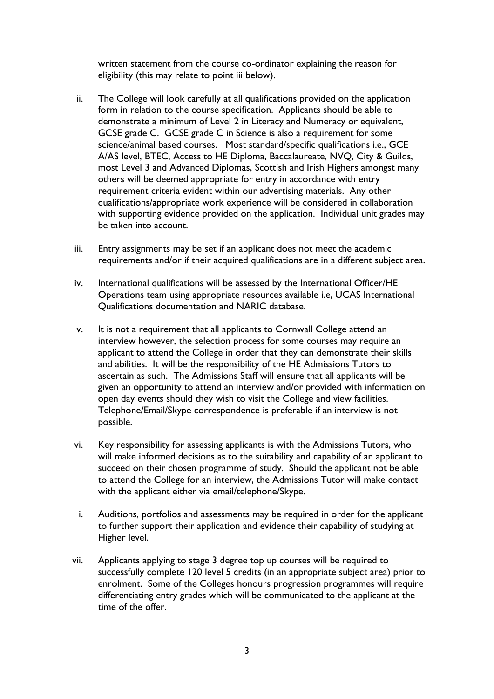written statement from the course co-ordinator explaining the reason for eligibility (this may relate to point iii below).

- ii. The College will look carefully at all qualifications provided on the application form in relation to the course specification. Applicants should be able to demonstrate a minimum of Level 2 in Literacy and Numeracy or equivalent, GCSE grade C. GCSE grade C in Science is also a requirement for some science/animal based courses. Most standard/specific qualifications i.e., GCE A/AS level, BTEC, Access to HE Diploma, Baccalaureate, NVQ, City & Guilds, most Level 3 and Advanced Diplomas, Scottish and Irish Highers amongst many others will be deemed appropriate for entry in accordance with entry requirement criteria evident within our advertising materials. Any other qualifications/appropriate work experience will be considered in collaboration with supporting evidence provided on the application. Individual unit grades may be taken into account.
- iii. Entry assignments may be set if an applicant does not meet the academic requirements and/or if their acquired qualifications are in a different subject area.
- iv. International qualifications will be assessed by the International Officer/HE Operations team using appropriate resources available i.e, UCAS International Qualifications documentation and NARIC database.
- v. It is not a requirement that all applicants to Cornwall College attend an interview however, the selection process for some courses may require an applicant to attend the College in order that they can demonstrate their skills and abilities. It will be the responsibility of the HE Admissions Tutors to ascertain as such. The Admissions Staff will ensure that all applicants will be given an opportunity to attend an interview and/or provided with information on open day events should they wish to visit the College and view facilities. Telephone/Email/Skype correspondence is preferable if an interview is not possible.
- vi. Key responsibility for assessing applicants is with the Admissions Tutors, who will make informed decisions as to the suitability and capability of an applicant to succeed on their chosen programme of study. Should the applicant not be able to attend the College for an interview, the Admissions Tutor will make contact with the applicant either via email/telephone/Skype.
- i. Auditions, portfolios and assessments may be required in order for the applicant to further support their application and evidence their capability of studying at Higher level.
- vii. Applicants applying to stage 3 degree top up courses will be required to successfully complete 120 level 5 credits (in an appropriate subject area) prior to enrolment. Some of the Colleges honours progression programmes will require differentiating entry grades which will be communicated to the applicant at the time of the offer.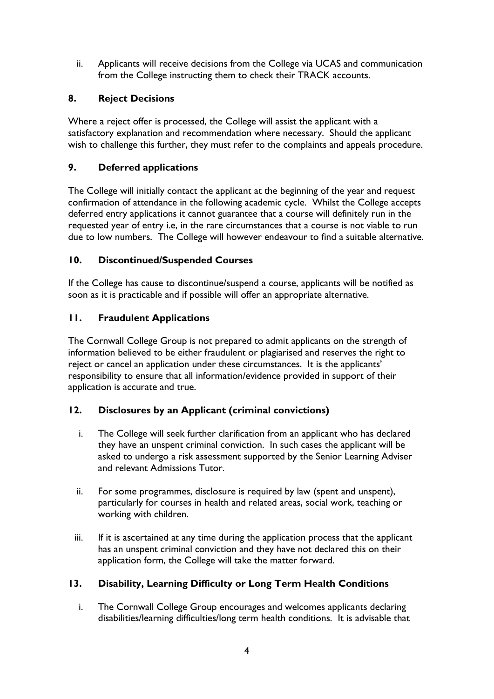ii. Applicants will receive decisions from the College via UCAS and communication from the College instructing them to check their TRACK accounts.

## **8. Reject Decisions**

Where a reject offer is processed, the College will assist the applicant with a satisfactory explanation and recommendation where necessary. Should the applicant wish to challenge this further, they must refer to the complaints and appeals procedure.

## **9. Deferred applications**

The College will initially contact the applicant at the beginning of the year and request confirmation of attendance in the following academic cycle. Whilst the College accepts deferred entry applications it cannot guarantee that a course will definitely run in the requested year of entry i.e, in the rare circumstances that a course is not viable to run due to low numbers. The College will however endeavour to find a suitable alternative.

## **10. Discontinued/Suspended Courses**

If the College has cause to discontinue/suspend a course, applicants will be notified as soon as it is practicable and if possible will offer an appropriate alternative.

## **11. Fraudulent Applications**

The Cornwall College Group is not prepared to admit applicants on the strength of information believed to be either fraudulent or plagiarised and reserves the right to reject or cancel an application under these circumstances. It is the applicants' responsibility to ensure that all information/evidence provided in support of their application is accurate and true.

## **12. Disclosures by an Applicant (criminal convictions)**

- i. The College will seek further clarification from an applicant who has declared they have an unspent criminal conviction. In such cases the applicant will be asked to undergo a risk assessment supported by the Senior Learning Adviser and relevant Admissions Tutor.
- ii. For some programmes, disclosure is required by law (spent and unspent), particularly for courses in health and related areas, social work, teaching or working with children.
- iii. If it is ascertained at any time during the application process that the applicant has an unspent criminal conviction and they have not declared this on their application form, the College will take the matter forward.

## **13. Disability, Learning Difficulty or Long Term Health Conditions**

i. The Cornwall College Group encourages and welcomes applicants declaring disabilities/learning difficulties/long term health conditions. It is advisable that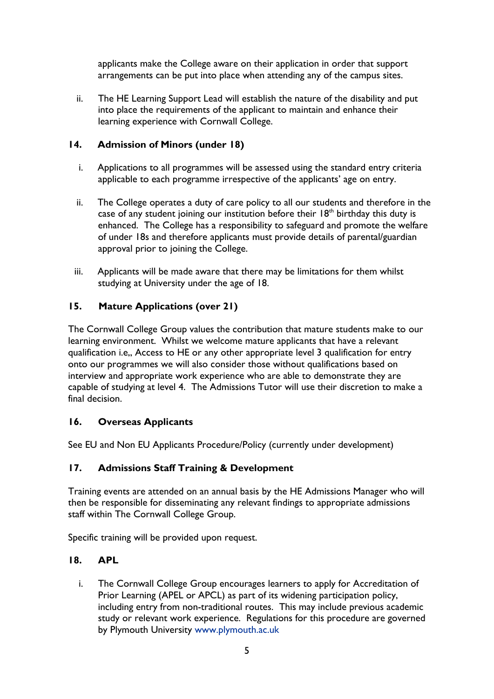applicants make the College aware on their application in order that support arrangements can be put into place when attending any of the campus sites.

ii. The HE Learning Support Lead will establish the nature of the disability and put into place the requirements of the applicant to maintain and enhance their learning experience with Cornwall College.

## **14. Admission of Minors (under 18)**

- i. Applications to all programmes will be assessed using the standard entry criteria applicable to each programme irrespective of the applicants' age on entry.
- ii. The College operates a duty of care policy to all our students and therefore in the case of any student joining our institution before their  $18<sup>th</sup>$  birthday this duty is enhanced. The College has a responsibility to safeguard and promote the welfare of under 18s and therefore applicants must provide details of parental/guardian approval prior to joining the College.
- iii. Applicants will be made aware that there may be limitations for them whilst studying at University under the age of 18.

## **15. Mature Applications (over 21)**

The Cornwall College Group values the contribution that mature students make to our learning environment. Whilst we welcome mature applicants that have a relevant qualification i.e,, Access to HE or any other appropriate level 3 qualification for entry onto our programmes we will also consider those without qualifications based on interview and appropriate work experience who are able to demonstrate they are capable of studying at level 4. The Admissions Tutor will use their discretion to make a final decision.

#### **16. Overseas Applicants**

See EU and Non EU Applicants Procedure/Policy (currently under development)

#### **17. Admissions Staff Training & Development**

Training events are attended on an annual basis by the HE Admissions Manager who will then be responsible for disseminating any relevant findings to appropriate admissions staff within The Cornwall College Group.

Specific training will be provided upon request.

#### **18. APL**

i. The Cornwall College Group encourages learners to apply for Accreditation of Prior Learning (APEL or APCL) as part of its widening participation policy, including entry from non-traditional routes. This may include previous academic study or relevant work experience. Regulations for this procedure are governed by Plymouth University [www.plymouth.ac.uk](http://www.plymouth.ac.uk/)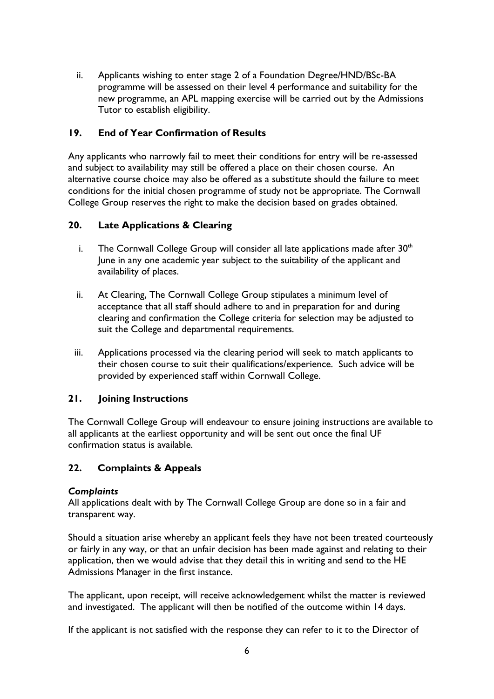ii. Applicants wishing to enter stage 2 of a Foundation Degree/HND/BSc-BA programme will be assessed on their level 4 performance and suitability for the new programme, an APL mapping exercise will be carried out by the Admissions Tutor to establish eligibility.

## **19. End of Year Confirmation of Results**

Any applicants who narrowly fail to meet their conditions for entry will be re-assessed and subject to availability may still be offered a place on their chosen course. An alternative course choice may also be offered as a substitute should the failure to meet conditions for the initial chosen programme of study not be appropriate. The Cornwall College Group reserves the right to make the decision based on grades obtained.

#### **20. Late Applications & Clearing**

- i. The Cornwall College Group will consider all late applications made after  $30<sup>th</sup>$ June in any one academic year subject to the suitability of the applicant and availability of places.
- ii. At Clearing, The Cornwall College Group stipulates a minimum level of acceptance that all staff should adhere to and in preparation for and during clearing and confirmation the College criteria for selection may be adjusted to suit the College and departmental requirements.
- iii. Applications processed via the clearing period will seek to match applicants to their chosen course to suit their qualifications/experience. Such advice will be provided by experienced staff within Cornwall College.

#### **21. Joining Instructions**

The Cornwall College Group will endeavour to ensure joining instructions are available to all applicants at the earliest opportunity and will be sent out once the final UF confirmation status is available.

## **22. Complaints & Appeals**

#### *Complaints*

All applications dealt with by The Cornwall College Group are done so in a fair and transparent way.

Should a situation arise whereby an applicant feels they have not been treated courteously or fairly in any way, or that an unfair decision has been made against and relating to their application, then we would advise that they detail this in writing and send to the HE Admissions Manager in the first instance.

The applicant, upon receipt, will receive acknowledgement whilst the matter is reviewed and investigated. The applicant will then be notified of the outcome within 14 days.

If the applicant is not satisfied with the response they can refer to it to the Director of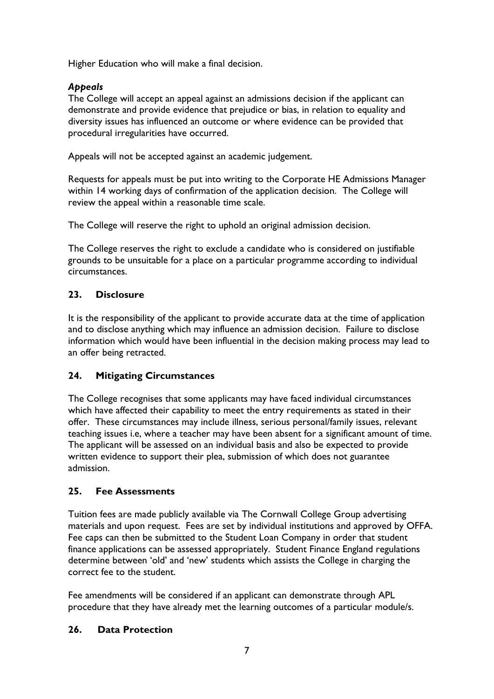Higher Education who will make a final decision.

## *Appeals*

The College will accept an appeal against an admissions decision if the applicant can demonstrate and provide evidence that prejudice or bias, in relation to equality and diversity issues has influenced an outcome or where evidence can be provided that procedural irregularities have occurred.

Appeals will not be accepted against an academic judgement.

Requests for appeals must be put into writing to the Corporate HE Admissions Manager within 14 working days of confirmation of the application decision. The College will review the appeal within a reasonable time scale.

The College will reserve the right to uphold an original admission decision.

The College reserves the right to exclude a candidate who is considered on justifiable grounds to be unsuitable for a place on a particular programme according to individual circumstances.

## **23. Disclosure**

It is the responsibility of the applicant to provide accurate data at the time of application and to disclose anything which may influence an admission decision. Failure to disclose information which would have been influential in the decision making process may lead to an offer being retracted.

#### **24. Mitigating Circumstances**

The College recognises that some applicants may have faced individual circumstances which have affected their capability to meet the entry requirements as stated in their offer. These circumstances may include illness, serious personal/family issues, relevant teaching issues i.e, where a teacher may have been absent for a significant amount of time. The applicant will be assessed on an individual basis and also be expected to provide written evidence to support their plea, submission of which does not guarantee admission.

#### **25. Fee Assessments**

Tuition fees are made publicly available via The Cornwall College Group advertising materials and upon request. Fees are set by individual institutions and approved by OFFA. Fee caps can then be submitted to the Student Loan Company in order that student finance applications can be assessed appropriately. Student Finance England regulations determine between 'old' and 'new' students which assists the College in charging the correct fee to the student.

Fee amendments will be considered if an applicant can demonstrate through APL procedure that they have already met the learning outcomes of a particular module/s.

#### **26. Data Protection**